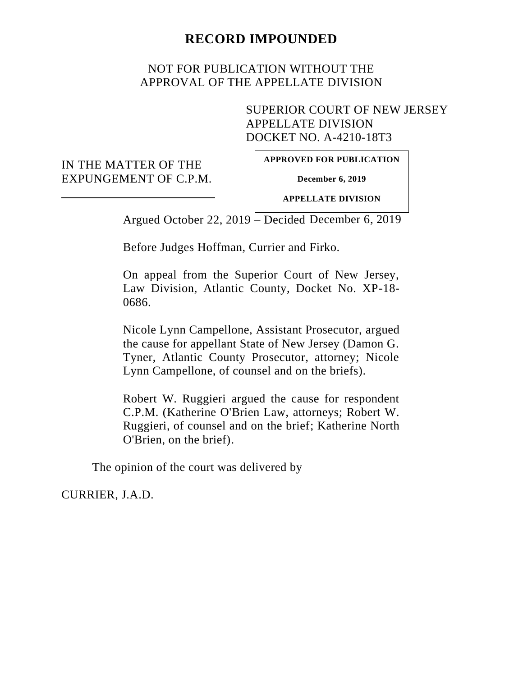## **RECORD IMPOUNDED**

## NOT FOR PUBLICATION WITHOUT THE APPROVAL OF THE APPELLATE DIVISION

SUPERIOR COURT OF NEW JERSEY APPELLATE DIVISION DOCKET NO. A-4210-18T3

IN THE MATTER OF THE EXPUNGEMENT OF C.P.M. **APPROVED FOR PUBLICATION**

**December 6, 2019**

**APPELLATE DIVISION**

Argued October 22, 2019 – Decided December 6, 2019

Before Judges Hoffman, Currier and Firko.

On appeal from the Superior Court of New Jersey, Law Division, Atlantic County, Docket No. XP-18- 0686.

Nicole Lynn Campellone, Assistant Prosecutor, argued the cause for appellant State of New Jersey (Damon G. Tyner, Atlantic County Prosecutor, attorney; Nicole Lynn Campellone, of counsel and on the briefs).

Robert W. Ruggieri argued the cause for respondent C.P.M. (Katherine O'Brien Law, attorneys; Robert W. Ruggieri, of counsel and on the brief; Katherine North O'Brien, on the brief).

The opinion of the court was delivered by

CURRIER, J.A.D.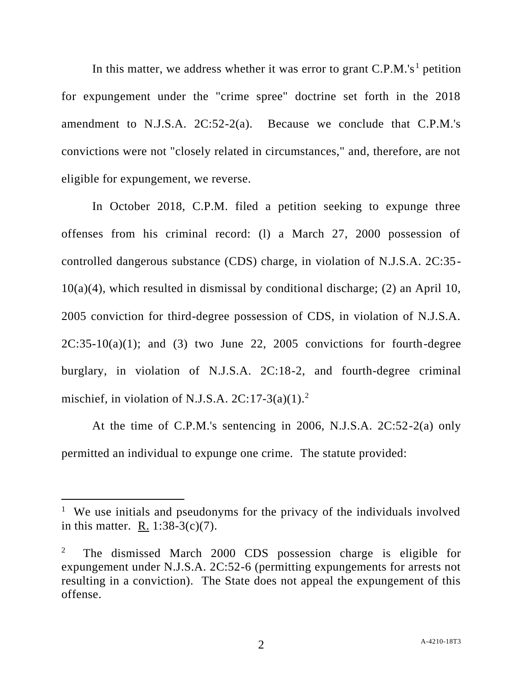In this matter, we address whether it was error to grant  $C.P.M.'s<sup>1</sup>$  petition for expungement under the "crime spree" doctrine set forth in the 2018 amendment to N.J.S.A. 2C:52-2(a). Because we conclude that C.P.M.'s convictions were not "closely related in circumstances," and, therefore, are not eligible for expungement, we reverse.

In October 2018, C.P.M. filed a petition seeking to expunge three offenses from his criminal record: (l) a March 27, 2000 possession of controlled dangerous substance (CDS) charge, in violation of N.J.S.A. 2C:35- 10(a)(4), which resulted in dismissal by conditional discharge; (2) an April 10, 2005 conviction for third-degree possession of CDS, in violation of N.J.S.A.  $2C:35-10(a)(1)$ ; and (3) two June 22, 2005 convictions for fourth-degree burglary, in violation of N.J.S.A. 2C:18-2, and fourth-degree criminal mischief, in violation of N.J.S.A.  $2C:17-3(a)(1)^2$ .

At the time of C.P.M.'s sentencing in 2006, N.J.S.A. 2C:52-2(a) only permitted an individual to expunge one crime. The statute provided:

<sup>&</sup>lt;sup>1</sup> We use initials and pseudonyms for the privacy of the individuals involved in this matter. R. 1:38-3(c)(7).

<sup>&</sup>lt;sup>2</sup> The dismissed March 2000 CDS possession charge is eligible for expungement under N.J.S.A. 2C:52-6 (permitting expungements for arrests not resulting in a conviction). The State does not appeal the expungement of this offense.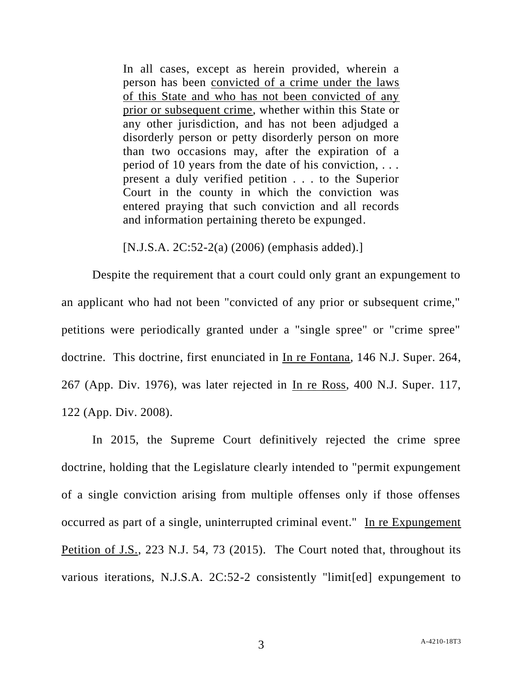In all cases, except as herein provided, wherein a person has been convicted of a crime under the laws of this State and who has not been convicted of any prior or subsequent crime, whether within this State or any other jurisdiction, and has not been adjudged a disorderly person or petty disorderly person on more than two occasions may, after the expiration of a period of 10 years from the date of his conviction, . . . present a duly verified petition . . . to the Superior Court in the county in which the conviction was entered praying that such conviction and all records and information pertaining thereto be expunged.

[N.J.S.A. 2C:52-2(a) (2006) (emphasis added).]

Despite the requirement that a court could only grant an expungement to an applicant who had not been "convicted of any prior or subsequent crime," petitions were periodically granted under a "single spree" or "crime spree" doctrine. This doctrine, first enunciated in In re Fontana, 146 N.J. Super. 264, 267 (App. Div. 1976), was later rejected in In re Ross, 400 N.J. Super. 117, 122 (App. Div. 2008).

In 2015, the Supreme Court definitively rejected the crime spree doctrine, holding that the Legislature clearly intended to "permit expungement of a single conviction arising from multiple offenses only if those offenses occurred as part of a single, uninterrupted criminal event." In re Expungement Petition of J.S., 223 N.J. 54, 73 (2015). The Court noted that, throughout its various iterations, N.J.S.A. 2C:52-2 consistently "limit[ed] expungement to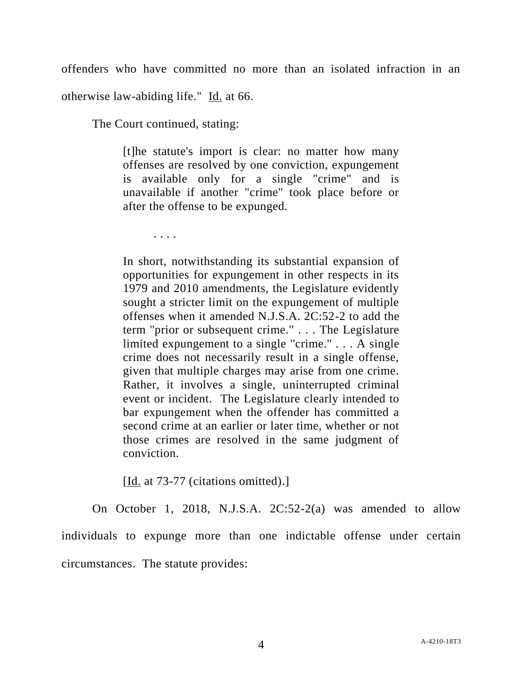offenders who have committed no more than an isolated infraction in an otherwise law-abiding life." Id. at 66.

The Court continued, stating:

[t]he statute's import is clear: no matter how many offenses are resolved by one conviction, expungement is available only for a single "crime" and is unavailable if another "crime" took place before or after the offense to be expunged.

. . . .

In short, notwithstanding its substantial expansion of opportunities for expungement in other respects in its 1979 and 2010 amendments, the Legislature evidently sought a stricter limit on the expungement of multiple offenses when it amended N.J.S.A. 2C:52-2 to add the term ''prior or subsequent crime.'' . . . The Legislature limited expungement to a single "crime."  $\ldots$  A single crime does not necessarily result in a single offense, given that multiple charges may arise from one crime. Rather, it involves a single, uninterrupted criminal event or incident. The Legislature clearly intended to bar expungement when the offender has committed a second crime at an earlier or later time, whether or not those crimes are resolved in the same judgment of conviction.

[Id. at  $73-77$  (citations omitted).]

On October 1, 2018, N.J.S.A. 2C:52-2(a) was amended to allow individuals to expunge more than one indictable offense under certain circumstances. The statute provides: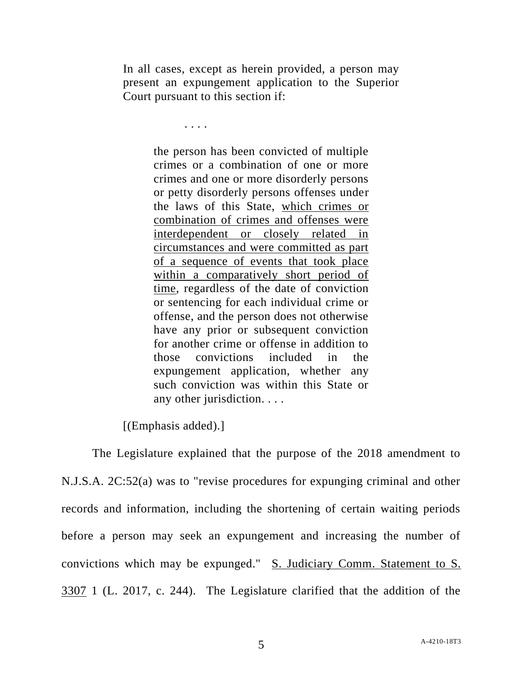In all cases, except as herein provided, a person may present an expungement application to the Superior Court pursuant to this section if:

. . . .

the person has been convicted of multiple crimes or a combination of one or more crimes and one or more disorderly persons or petty disorderly persons offenses under the laws of this State, which crimes or combination of crimes and offenses were interdependent or closely related in circumstances and were committed as part of a sequence of events that took place within a comparatively short period of time, regardless of the date of conviction or sentencing for each individual crime or offense, and the person does not otherwise have any prior or subsequent conviction for another crime or offense in addition to those convictions included in the expungement application, whether any such conviction was within this State or any other jurisdiction. . . .

[(Emphasis added).]

The Legislature explained that the purpose of the 2018 amendment to N.J.S.A. 2C:52(a) was to "revise procedures for expunging criminal and other records and information, including the shortening of certain waiting periods before a person may seek an expungement and increasing the number of convictions which may be expunged." S. Judiciary Comm. Statement to S. 3307 1 (L. 2017, c. 244). The Legislature clarified that the addition of the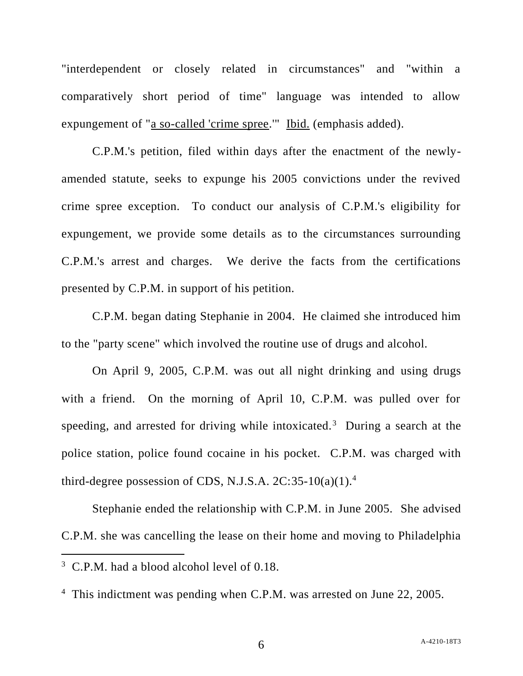"interdependent or closely related in circumstances" and "within a comparatively short period of time" language was intended to allow expungement of "a so-called 'crime spree.'" Ibid. (emphasis added).

C.P.M.'s petition, filed within days after the enactment of the newlyamended statute, seeks to expunge his 2005 convictions under the revived crime spree exception. To conduct our analysis of C.P.M.'s eligibility for expungement, we provide some details as to the circumstances surrounding C.P.M.'s arrest and charges. We derive the facts from the certifications presented by C.P.M. in support of his petition.

C.P.M. began dating Stephanie in 2004. He claimed she introduced him to the "party scene" which involved the routine use of drugs and alcohol.

On April 9, 2005, C.P.M. was out all night drinking and using drugs with a friend. On the morning of April 10, C.P.M. was pulled over for speeding, and arrested for driving while intoxicated.<sup>3</sup> During a search at the police station, police found cocaine in his pocket. C.P.M. was charged with third-degree possession of CDS, N.J.S.A.  $2C:35-10(a)(1).4$ 

Stephanie ended the relationship with C.P.M. in June 2005. She advised C.P.M. she was cancelling the lease on their home and moving to Philadelphia

<sup>&</sup>lt;sup>3</sup> C.P.M. had a blood alcohol level of 0.18.

<sup>&</sup>lt;sup>4</sup> This indictment was pending when C.P.M. was arrested on June 22, 2005.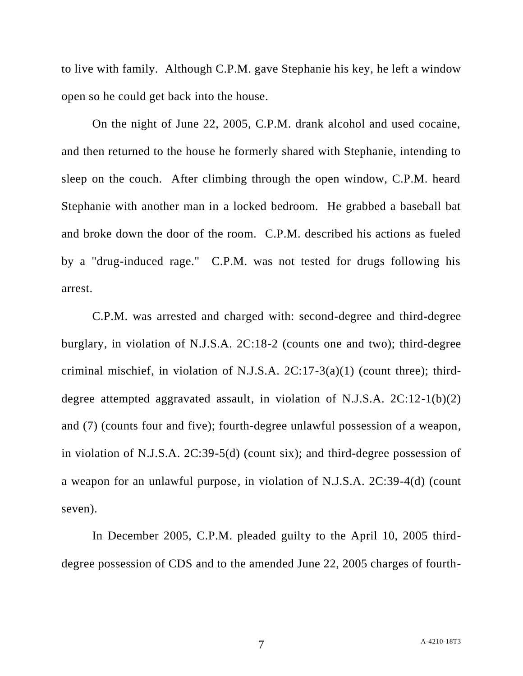to live with family. Although C.P.M. gave Stephanie his key, he left a window open so he could get back into the house.

On the night of June 22, 2005, C.P.M. drank alcohol and used cocaine, and then returned to the house he formerly shared with Stephanie, intending to sleep on the couch. After climbing through the open window, C.P.M. heard Stephanie with another man in a locked bedroom. He grabbed a baseball bat and broke down the door of the room. C.P.M. described his actions as fueled by a "drug-induced rage." C.P.M. was not tested for drugs following his arrest.

C.P.M. was arrested and charged with: second-degree and third-degree burglary, in violation of N.J.S.A. 2C:18-2 (counts one and two); third-degree criminal mischief, in violation of N.J.S.A.  $2C:17-3(a)(1)$  (count three); thirddegree attempted aggravated assault, in violation of N.J.S.A. 2C:12-1(b)(2) and (7) (counts four and five); fourth-degree unlawful possession of a weapon, in violation of N.J.S.A. 2C:39-5(d) (count six); and third-degree possession of a weapon for an unlawful purpose, in violation of N.J.S.A. 2C:39-4(d) (count seven).

In December 2005, C.P.M. pleaded guilty to the April 10, 2005 thirddegree possession of CDS and to the amended June 22, 2005 charges of fourth-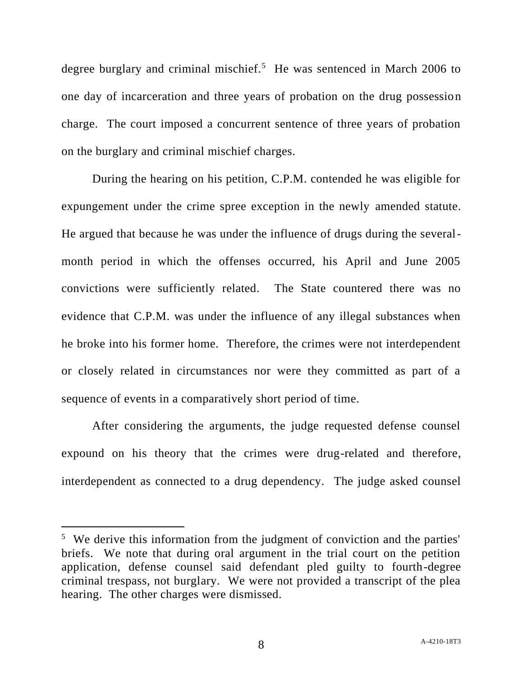degree burglary and criminal mischief.<sup>5</sup> He was sentenced in March 2006 to one day of incarceration and three years of probation on the drug possession charge. The court imposed a concurrent sentence of three years of probation on the burglary and criminal mischief charges.

During the hearing on his petition, C.P.M. contended he was eligible for expungement under the crime spree exception in the newly amended statute. He argued that because he was under the influence of drugs during the severalmonth period in which the offenses occurred, his April and June 2005 convictions were sufficiently related. The State countered there was no evidence that C.P.M. was under the influence of any illegal substances when he broke into his former home. Therefore, the crimes were not interdependent or closely related in circumstances nor were they committed as part of a sequence of events in a comparatively short period of time.

After considering the arguments, the judge requested defense counsel expound on his theory that the crimes were drug-related and therefore, interdependent as connected to a drug dependency. The judge asked counsel

<sup>&</sup>lt;sup>5</sup> We derive this information from the judgment of conviction and the parties' briefs. We note that during oral argument in the trial court on the petition application, defense counsel said defendant pled guilty to fourth-degree criminal trespass, not burglary. We were not provided a transcript of the plea hearing. The other charges were dismissed.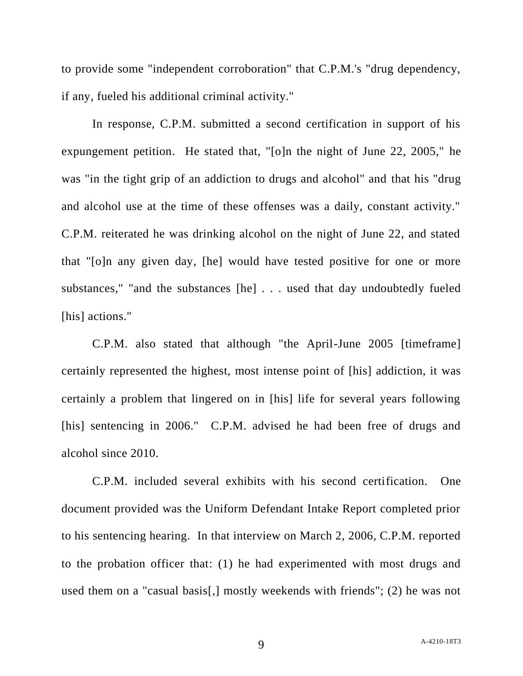to provide some "independent corroboration" that C.P.M.'s "drug dependency, if any, fueled his additional criminal activity."

In response, C.P.M. submitted a second certification in support of his expungement petition. He stated that, "[o]n the night of June 22, 2005," he was "in the tight grip of an addiction to drugs and alcohol" and that his "drug and alcohol use at the time of these offenses was a daily, constant activity." C.P.M. reiterated he was drinking alcohol on the night of June 22, and stated that "[o]n any given day, [he] would have tested positive for one or more substances," "and the substances [he] . . . used that day undoubtedly fueled [his] actions."

C.P.M. also stated that although "the April-June 2005 [timeframe] certainly represented the highest, most intense point of [his] addiction, it was certainly a problem that lingered on in [his] life for several years following [his] sentencing in 2006." C.P.M. advised he had been free of drugs and alcohol since 2010.

C.P.M. included several exhibits with his second certification. One document provided was the Uniform Defendant Intake Report completed prior to his sentencing hearing. In that interview on March 2, 2006, C.P.M. reported to the probation officer that: (1) he had experimented with most drugs and used them on a "casual basis[,] mostly weekends with friends"; (2) he was not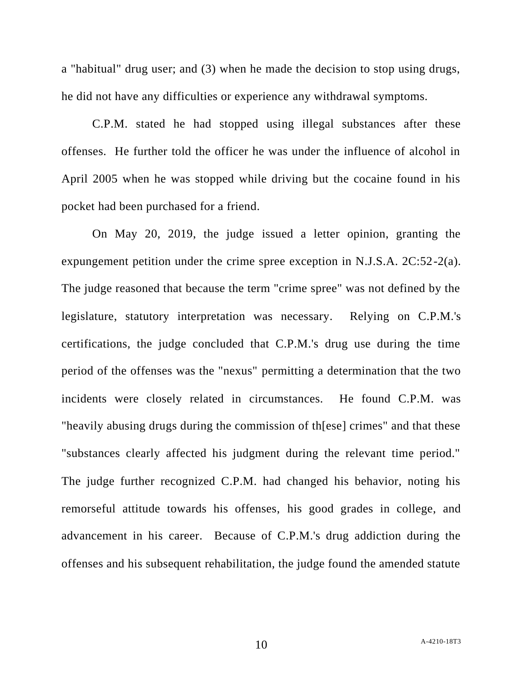a "habitual" drug user; and (3) when he made the decision to stop using drugs, he did not have any difficulties or experience any withdrawal symptoms.

C.P.M. stated he had stopped using illegal substances after these offenses. He further told the officer he was under the influence of alcohol in April 2005 when he was stopped while driving but the cocaine found in his pocket had been purchased for a friend.

On May 20, 2019, the judge issued a letter opinion, granting the expungement petition under the crime spree exception in N.J.S.A. 2C:52-2(a). The judge reasoned that because the term "crime spree" was not defined by the legislature, statutory interpretation was necessary. Relying on C.P.M.'s certifications, the judge concluded that C.P.M.'s drug use during the time period of the offenses was the "nexus" permitting a determination that the two incidents were closely related in circumstances. He found C.P.M. was "heavily abusing drugs during the commission of th[ese] crimes" and that these "substances clearly affected his judgment during the relevant time period." The judge further recognized C.P.M. had changed his behavior, noting his remorseful attitude towards his offenses, his good grades in college, and advancement in his career. Because of C.P.M.'s drug addiction during the offenses and his subsequent rehabilitation, the judge found the amended statute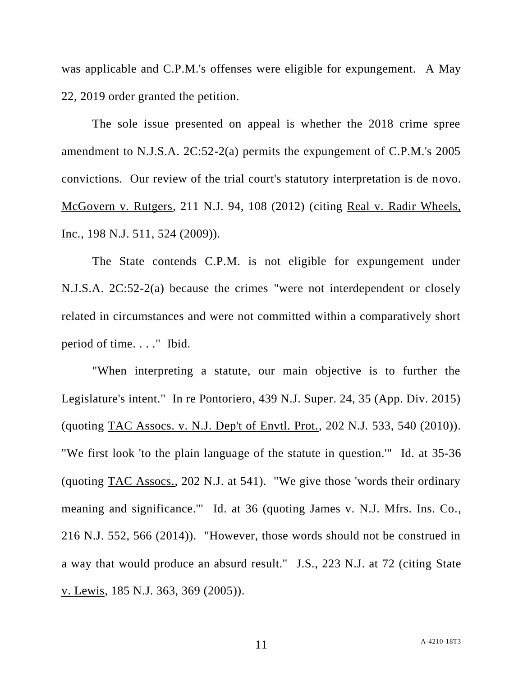was applicable and C.P.M.'s offenses were eligible for expungement. A May 22, 2019 order granted the petition.

The sole issue presented on appeal is whether the 2018 crime spree amendment to N.J.S.A. 2C:52-2(a) permits the expungement of C.P.M.'s 2005 convictions. Our review of the trial court's statutory interpretation is de novo. McGovern v. Rutgers, 211 N.J. 94, 108 (2012) (citing Real v. Radir Wheels, Inc., 198 N.J. 511, 524 (2009)).

The State contends C.P.M. is not eligible for expungement under N.J.S.A. 2C:52-2(a) because the crimes "were not interdependent or closely related in circumstances and were not committed within a comparatively short period of time. . . . " Ibid.

"When interpreting a statute, our main objective is to further the Legislature's intent." In re Pontoriero, 439 N.J. Super. 24, 35 (App. Div. 2015) (quoting TAC Assocs. v. N.J. Dep't of Envtl. Prot., 202 N.J. 533, 540 (2010)). "We first look 'to the plain language of the statute in question." Id. at 35-36 (quoting TAC Assocs., 202 N.J. at 541). "We give those 'words their ordinary meaning and significance.'" Id. at 36 (quoting James v. N.J. Mfrs. Ins. Co., 216 N.J. 552, 566 (2014)). "However, those words should not be construed in a way that would produce an absurd result." J.S., 223 N.J. at 72 (citing State v. Lewis, 185 N.J. 363, 369 (2005)).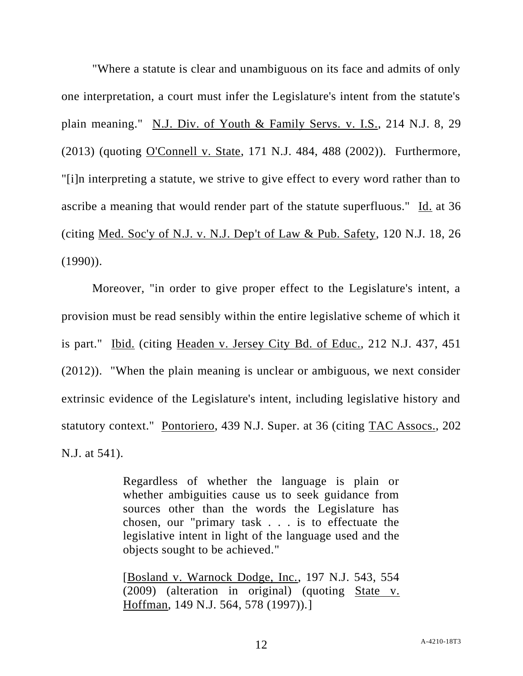"Where a statute is clear and unambiguous on its face and admits of only one interpretation, a court must infer the Legislature's intent from the statute's plain meaning." N.J. Div. of Youth & Family Servs. v. I.S., 214 N.J. 8, 29 (2013) (quoting O'Connell v. State, 171 N.J. 484, 488 (2002)). Furthermore, "[i]n interpreting a statute, we strive to give effect to every word rather than to ascribe a meaning that would render part of the statute superfluous." Id. at 36 (citing Med. Soc'y of N.J. v. N.J. Dep't of Law & Pub. Safety, 120 N.J. 18, 26  $(1990)$ ).

Moreover, "in order to give proper effect to the Legislature's intent, a provision must be read sensibly within the entire legislative scheme of which it is part." Ibid. (citing Headen v. Jersey City Bd. of Educ., 212 N.J. 437, 451 (2012)). "When the plain meaning is unclear or ambiguous, we next consider extrinsic evidence of the Legislature's intent, including legislative history and statutory context." Pontoriero, 439 N.J. Super. at 36 (citing TAC Assocs., 202 N.J. at 541).

> Regardless of whether the language is plain or whether ambiguities cause us to seek guidance from sources other than the words the Legislature has chosen, our "primary task . . . is to effectuate the legislative intent in light of the language used and the objects sought to be achieved."

> [Bosland v. Warnock Dodge, Inc., 197 N.J. 543, 554 (2009) (alteration in original) (quoting State v. Hoffman, 149 N.J. 564, 578 (1997)).]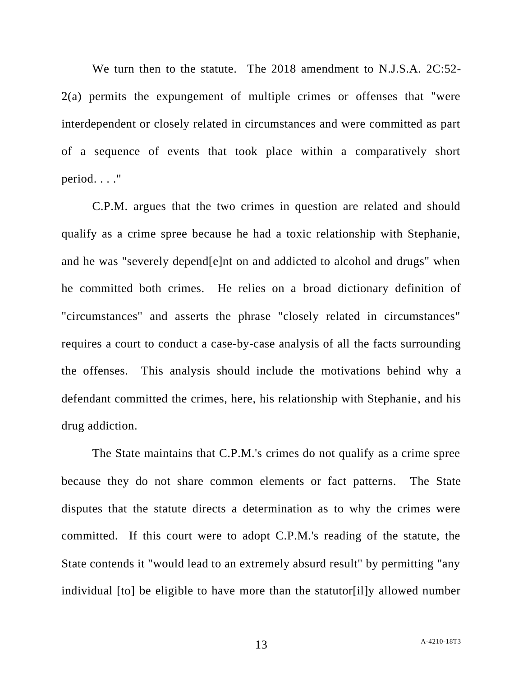We turn then to the statute. The 2018 amendment to N.J.S.A. 2C:52- 2(a) permits the expungement of multiple crimes or offenses that "were interdependent or closely related in circumstances and were committed as part of a sequence of events that took place within a comparatively short period. . . ."

C.P.M. argues that the two crimes in question are related and should qualify as a crime spree because he had a toxic relationship with Stephanie, and he was "severely depend[e]nt on and addicted to alcohol and drugs" when he committed both crimes. He relies on a broad dictionary definition of "circumstances" and asserts the phrase "closely related in circumstances" requires a court to conduct a case-by-case analysis of all the facts surrounding the offenses. This analysis should include the motivations behind why a defendant committed the crimes, here, his relationship with Stephanie, and his drug addiction.

The State maintains that C.P.M.'s crimes do not qualify as a crime spree because they do not share common elements or fact patterns. The State disputes that the statute directs a determination as to why the crimes were committed. If this court were to adopt C.P.M.'s reading of the statute, the State contends it "would lead to an extremely absurd result" by permitting "any individual [to] be eligible to have more than the statutor[il]y allowed number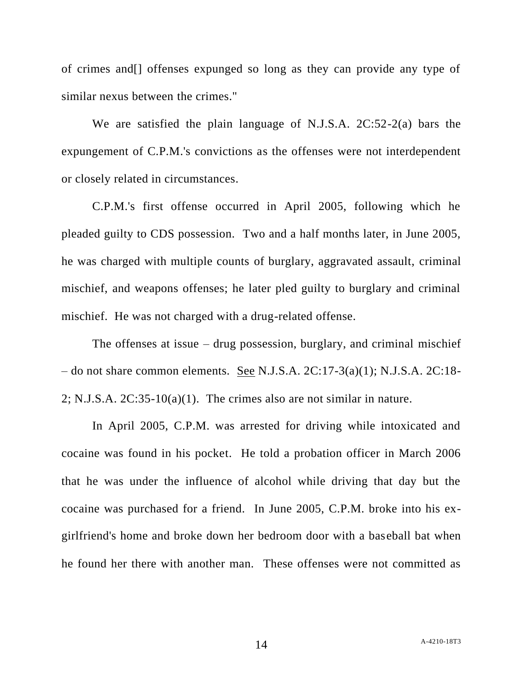of crimes and[] offenses expunged so long as they can provide any type of similar nexus between the crimes."

We are satisfied the plain language of N.J.S.A. 2C:52-2(a) bars the expungement of C.P.M.'s convictions as the offenses were not interdependent or closely related in circumstances.

C.P.M.'s first offense occurred in April 2005, following which he pleaded guilty to CDS possession. Two and a half months later, in June 2005, he was charged with multiple counts of burglary, aggravated assault, criminal mischief, and weapons offenses; he later pled guilty to burglary and criminal mischief. He was not charged with a drug-related offense.

The offenses at issue – drug possession, burglary, and criminal mischief – do not share common elements. See N.J.S.A. 2C:17-3(a)(1); N.J.S.A. 2C:18- 2; N.J.S.A. 2C:35-10(a)(1). The crimes also are not similar in nature.

In April 2005, C.P.M. was arrested for driving while intoxicated and cocaine was found in his pocket. He told a probation officer in March 2006 that he was under the influence of alcohol while driving that day but the cocaine was purchased for a friend. In June 2005, C.P.M. broke into his exgirlfriend's home and broke down her bedroom door with a baseball bat when he found her there with another man. These offenses were not committed as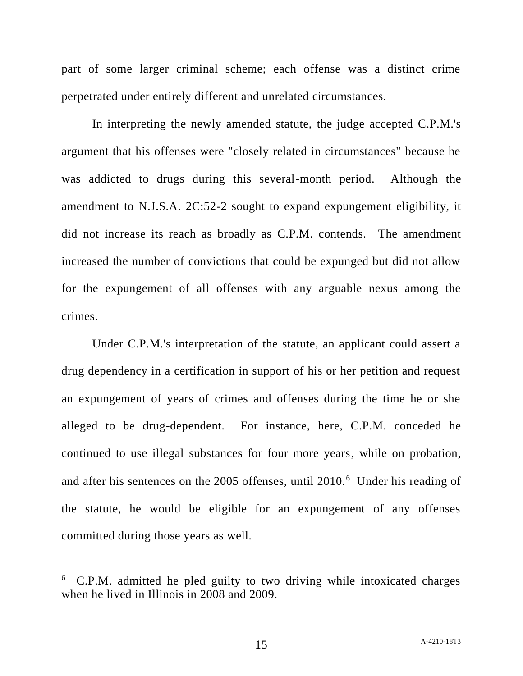part of some larger criminal scheme; each offense was a distinct crime perpetrated under entirely different and unrelated circumstances.

In interpreting the newly amended statute, the judge accepted C.P.M.'s argument that his offenses were "closely related in circumstances" because he was addicted to drugs during this several-month period. Although the amendment to N.J.S.A. 2C:52-2 sought to expand expungement eligibility, it did not increase its reach as broadly as C.P.M. contends. The amendment increased the number of convictions that could be expunged but did not allow for the expungement of all offenses with any arguable nexus among the crimes.

Under C.P.M.'s interpretation of the statute, an applicant could assert a drug dependency in a certification in support of his or her petition and request an expungement of years of crimes and offenses during the time he or she alleged to be drug-dependent. For instance, here, C.P.M. conceded he continued to use illegal substances for four more years, while on probation, and after his sentences on the 2005 offenses, until 2010.<sup>6</sup> Under his reading of the statute, he would be eligible for an expungement of any offenses committed during those years as well.

<sup>6</sup> C.P.M. admitted he pled guilty to two driving while intoxicated charges when he lived in Illinois in 2008 and 2009.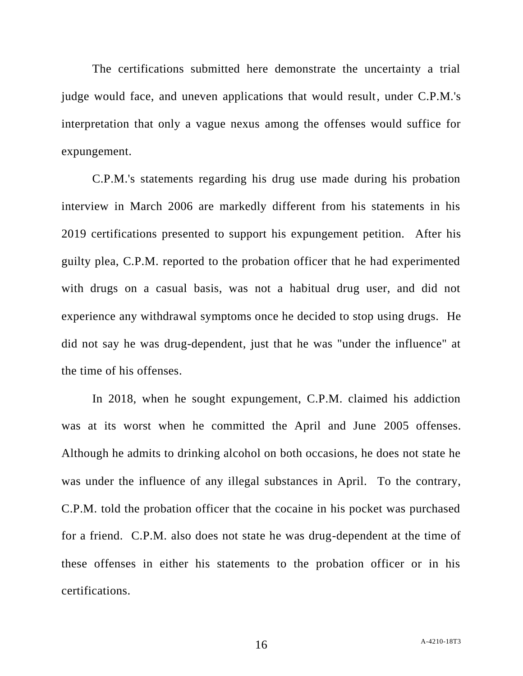The certifications submitted here demonstrate the uncertainty a trial judge would face, and uneven applications that would result, under C.P.M.'s interpretation that only a vague nexus among the offenses would suffice for expungement.

C.P.M.'s statements regarding his drug use made during his probation interview in March 2006 are markedly different from his statements in his 2019 certifications presented to support his expungement petition. After his guilty plea, C.P.M. reported to the probation officer that he had experimented with drugs on a casual basis, was not a habitual drug user, and did not experience any withdrawal symptoms once he decided to stop using drugs. He did not say he was drug-dependent, just that he was "under the influence" at the time of his offenses.

In 2018, when he sought expungement, C.P.M. claimed his addiction was at its worst when he committed the April and June 2005 offenses. Although he admits to drinking alcohol on both occasions, he does not state he was under the influence of any illegal substances in April. To the contrary, C.P.M. told the probation officer that the cocaine in his pocket was purchased for a friend. C.P.M. also does not state he was drug-dependent at the time of these offenses in either his statements to the probation officer or in his certifications.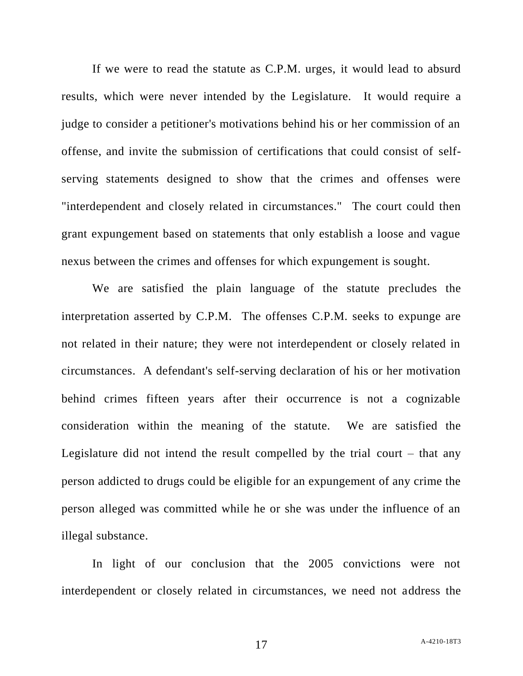If we were to read the statute as C.P.M. urges, it would lead to absurd results, which were never intended by the Legislature. It would require a judge to consider a petitioner's motivations behind his or her commission of an offense, and invite the submission of certifications that could consist of selfserving statements designed to show that the crimes and offenses were "interdependent and closely related in circumstances." The court could then grant expungement based on statements that only establish a loose and vague nexus between the crimes and offenses for which expungement is sought.

We are satisfied the plain language of the statute precludes the interpretation asserted by C.P.M. The offenses C.P.M. seeks to expunge are not related in their nature; they were not interdependent or closely related in circumstances. A defendant's self-serving declaration of his or her motivation behind crimes fifteen years after their occurrence is not a cognizable consideration within the meaning of the statute. We are satisfied the Legislature did not intend the result compelled by the trial court – that any person addicted to drugs could be eligible for an expungement of any crime the person alleged was committed while he or she was under the influence of an illegal substance.

In light of our conclusion that the 2005 convictions were not interdependent or closely related in circumstances, we need not address the